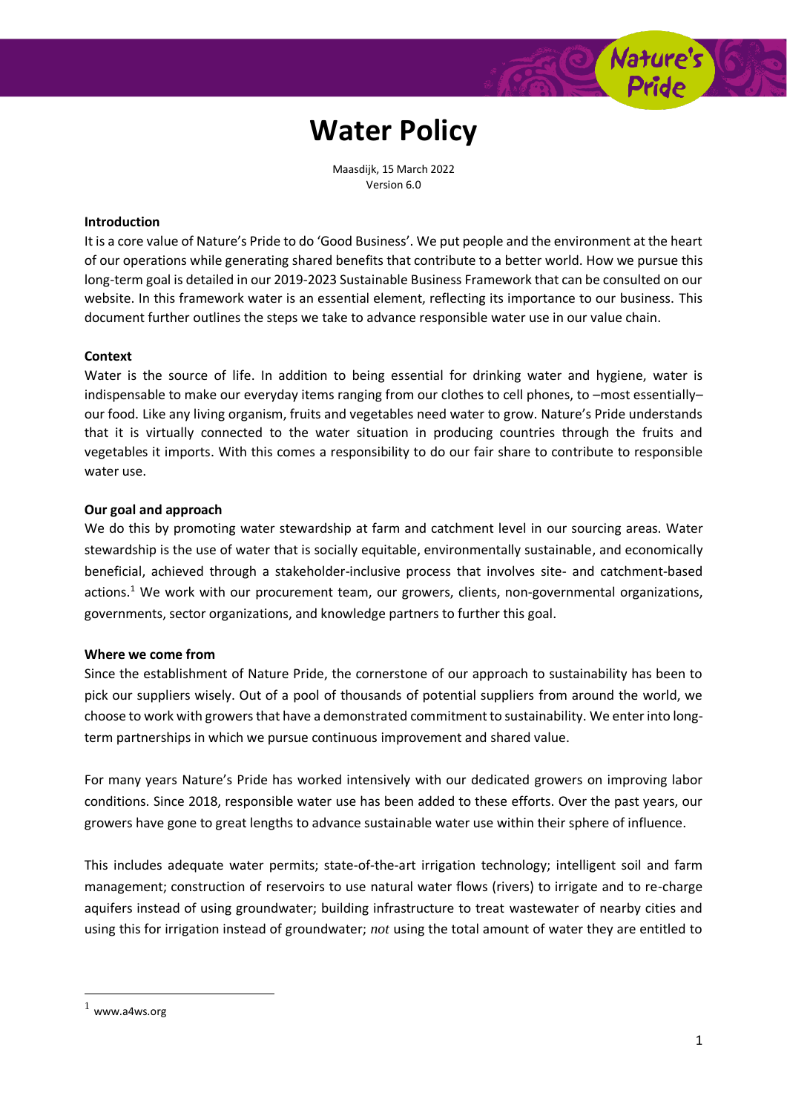

Maasdijk, 15 March 2022 Version 6.0

## **Introduction**

It is a core value of Nature's Pride to do 'Good Business'. We put people and the environment at the heart of our operations while generating shared benefits that contribute to a better world. How we pursue this long-term goal is detailed in our 2019-2023 Sustainable Business Framework that can be consulted on our website. In this framework water is an essential element, reflecting its importance to our business. This document further outlines the steps we take to advance responsible water use in our value chain.

### **Context**

Water is the source of life. In addition to being essential for drinking water and hygiene, water is indispensable to make our everyday items ranging from our clothes to cell phones, to -most essentiallyour food. Like any living organism, fruits and vegetables need water to grow. Nature's Pride understands that it is virtually connected to the water situation in producing countries through the fruits and vegetables it imports. With this comes a responsibility to do our fair share to contribute to responsible water use.

#### **Our goal and approach**

We do this by promoting water stewardship at farm and catchment level in our sourcing areas. Water stewardship is the use of water that is socially equitable, environmentally sustainable, and economically beneficial, achieved through a stakeholder-inclusive process that involves site- and catchment-based actions.<sup>1</sup> We work with our procurement team, our growers, clients, non-governmental organizations, governments, sector organizations, and knowledge partners to further this goal.

#### **Where we come from**

Since the establishment of Nature Pride, the cornerstone of our approach to sustainability has been to pick our suppliers wisely. Out of a pool of thousands of potential suppliers from around the world, we choose to work with growers that have a demonstrated commitment to sustainability. We enter into longterm partnerships in which we pursue continuous improvement and shared value.

For many years Nature's Pride has worked intensively with our dedicated growers on improving labor conditions. Since 2018, responsible water use has been added to these efforts. Over the past years, our growers have gone to great lengths to advance sustainable water use within their sphere of influence.

This includes adequate water permits; state-of-the-art irrigation technology; intelligent soil and farm management; construction of reservoirs to use natural water flows (rivers) to irrigate and to re-charge aquifers instead of using groundwater; building infrastructure to treat wastewater of nearby cities and using this for irrigation instead of groundwater; *not* using the total amount of water they are entitled to

 $\overline{a}$ 

 $1$  [www.a4ws.org](http://www.a4ws.org/)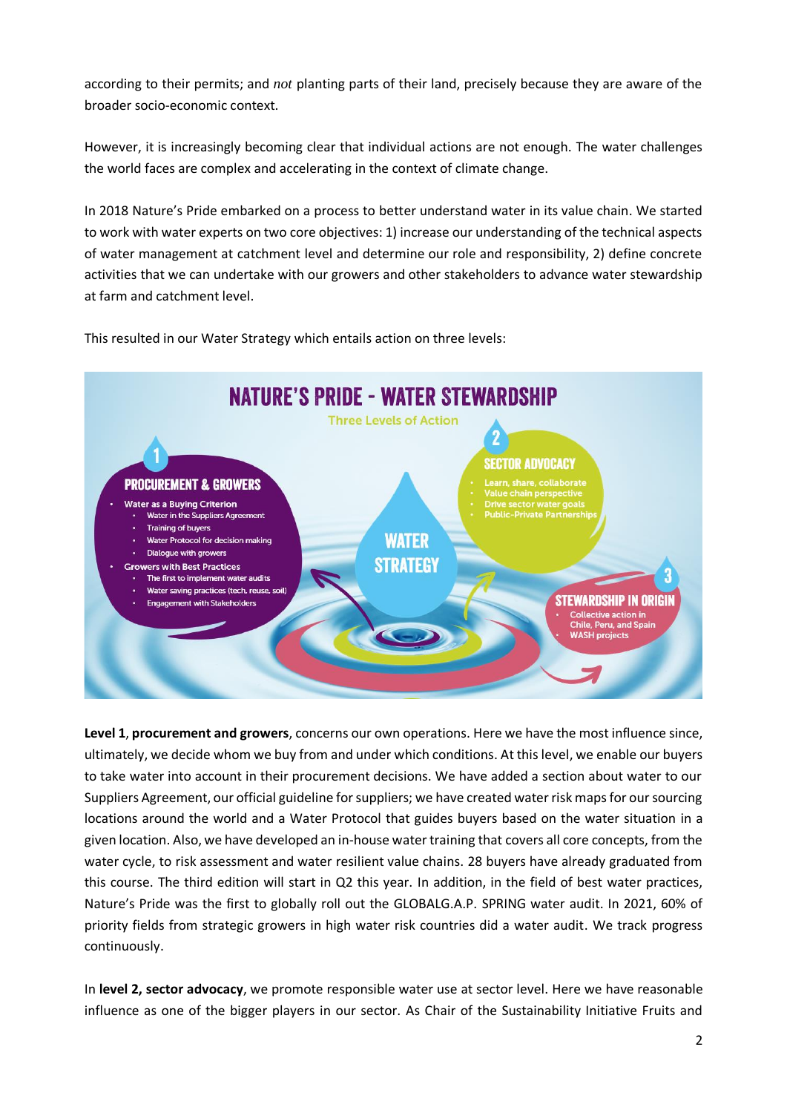according to their permits; and *not* planting parts of their land, precisely because they are aware of the broader socio-economic context.

However, it is increasingly becoming clear that individual actions are not enough. The water challenges the world faces are complex and accelerating in the context of climate change.

In 2018 Nature's Pride embarked on a process to better understand water in its value chain. We started to work with water experts on two core objectives: 1) increase our understanding of the technical aspects of water management at catchment level and determine our role and responsibility, 2) define concrete activities that we can undertake with our growers and other stakeholders to advance water stewardship at farm and catchment level.

**NATURE'S PRIDE - WATER STEWARDSHIP Three Levels of Action SECTOR ADVOCACY PROCUREMENT & GROWERS** Water as a Buying Criterion Water in the Suppliers Agreement **Public-Private Partnership Training of buyers** WATER Water Protocol for decision making Dialogue with growers STRATEGY **Growers with Best Practices** The first to implement water audits Water saving practices (tech, reuse, soil Stewardship in Origin **Engagement with Stakeholders Collective action in Chile, Peru, and Spain WASH projects** 

This resulted in our Water Strategy which entails action on three levels:

**Level 1**, **procurement and growers**, concerns our own operations. Here we have the most influence since, ultimately, we decide whom we buy from and under which conditions. At this level, we enable our buyers to take water into account in their procurement decisions. We have added a section about water to our Suppliers Agreement, our official guideline for suppliers; we have created water risk maps for our sourcing locations around the world and a Water Protocol that guides buyers based on the water situation in a given location. Also, we have developed an in-house water training that covers all core concepts, from the water cycle, to risk assessment and water resilient value chains. 28 buyers have already graduated from this course. The third edition will start in Q2 this year. In addition, in the field of best water practices, Nature's Pride was the first to globally roll out the GLOBALG.A.P. SPRING water audit. In 2021, 60% of priority fields from strategic growers in high water risk countries did a water audit. We track progress continuously.

In **level 2, sector advocacy**, we promote responsible water use at sector level. Here we have reasonable influence as one of the bigger players in our sector. As Chair of the Sustainability Initiative Fruits and